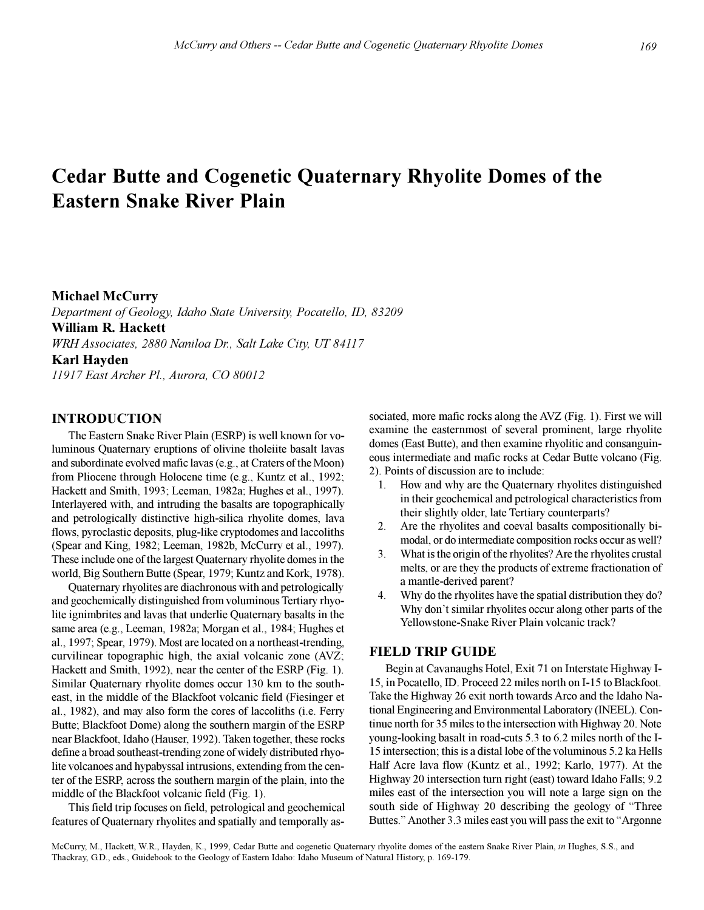# **Cedar Butte and Cogenetic Quaternary Rhyolite Domes of the Eastern Snake River Plain**

# **Michael McCurry**

*Department of Geology, Idaho State University, Pocatello, ID, 83209* **William R. Hackett** *WRH Associates, 2880 Naniloa Dr., Salt Lake City, UT 84117* **Karl Hayden** *11917 East Archer Pl., Aurora, CO 80012*

# **INTRODUCTION**

The Eastern Snake River Plain (ESRP) is well known for voluminous Quaternary eruptions of olivine tholeiite basalt lavas and subordinate evolved mafic lavas (e.g., at Craters of the Moon) from Pliocene through Holocene time (e.g., Kuntz et al., 1992; Hackett and Smith, 1993; Leeman, 1982a; Hughes et al., 1997). Interlayered with, and intruding the basalts are topographically and petrologically distinctive high-silica rhyolite domes, lava flows, pyroclastic deposits, plug-like cryptodomes and laccoliths (Spear and King, 1982; Leeman, 1982b, McCurry et al., 1997). These include one of the largest Quaternary rhyolite domes in the world, Big Southern Butte (Spear, 1979; Kuntz and Kork, 1978).

Quaternary rhyolites are diachronous with and petrologically and geochemically distinguished from voluminous Tertiary rhyolite ignimbrites and lavas that underlie Quaternary basalts in the same area (e.g., Leeman, 1982a; Morgan et al., 1984; Hughes et al., 1997; Spear, 1979). Most are located on a northeast-trending, curvilinear topographic high, the axial volcanic zone (AVZ; Hackett and Smith, 1992), near the center of the ESRP (Fig. 1). Similar Quaternary rhyolite domes occur 130 km to the southeast, in the middle of the Blackfoot volcanic field (Fiesinger et al., 1982), and may also form the cores of laccoliths (i.e. Ferry Butte; Blackfoot Dome) along the southern margin of the ESRP near Blackfoot, Idaho (Hauser, 1992). Taken together, these rocks define a broad southeast-trending zone of widely distributed rhyolite volcanoes and hypabyssal intrusions, extending from the center of the ESRP, across the southern margin of the plain, into the middle of the Blackfoot volcanic field (Fig. 1).

This field trip focuses on field, petrological and geochemical features of Quaternary rhyolites and spatially and temporally associated, more mafic rocks along the AVZ (Fig. 1). First we will examine the easternmost of several prominent, large rhyolite domes (East Butte), and then examine rhyolitic and consanguineous intermediate and mafic rocks at Cedar Butte volcano (Fig. 2). Points of discussion are to include:

- 1. How and why are the Quaternary rhyolites distinguished in their geochemical and petrological characteristics from their slightly older, late Tertiary counterparts?
- 2. Are the rhyolites and coeval basalts compositionally bimodal, or do intermediate composition rocks occur as well?
- 3. What is the origin of the rhyolites? Are the rhyolites crustal melts, or are they the products of extreme fractionation of a mantle-derived parent?
- 4. Why do the rhyolites have the spatial distribution they do? Why don't similar rhyolites occur along other parts of the Yellowstone-Snake River Plain volcanic track?

# **FIELD TRIP GUIDE**

Begin at Cavanaughs Hotel, Exit 71 on Interstate Highway I-15, in Pocatello, ID. Proceed 22 miles north on I-15 to Blackfoot. Take the Highway 26 exit north towards Arco and the Idaho National Engineering and Environmental Laboratory (INEEL). Continue north for 35 miles to the intersection with Highway 20. Note young-looking basalt in road-cuts 5.3 to 6.2 miles north of the I-15 intersection; this is a distal lobe of the voluminous 5.2 ka Hells Half Acre lava flow (Kuntz et al., 1992; Karlo, 1977). At the Highway 20 intersection turn right (east) toward Idaho Falls; 9.2 miles east of the intersection you will note a large sign on the south side of Highway 20 describing the geology of "Three" Buttes." Another 3.3 miles east you will pass the exit to "Argonne"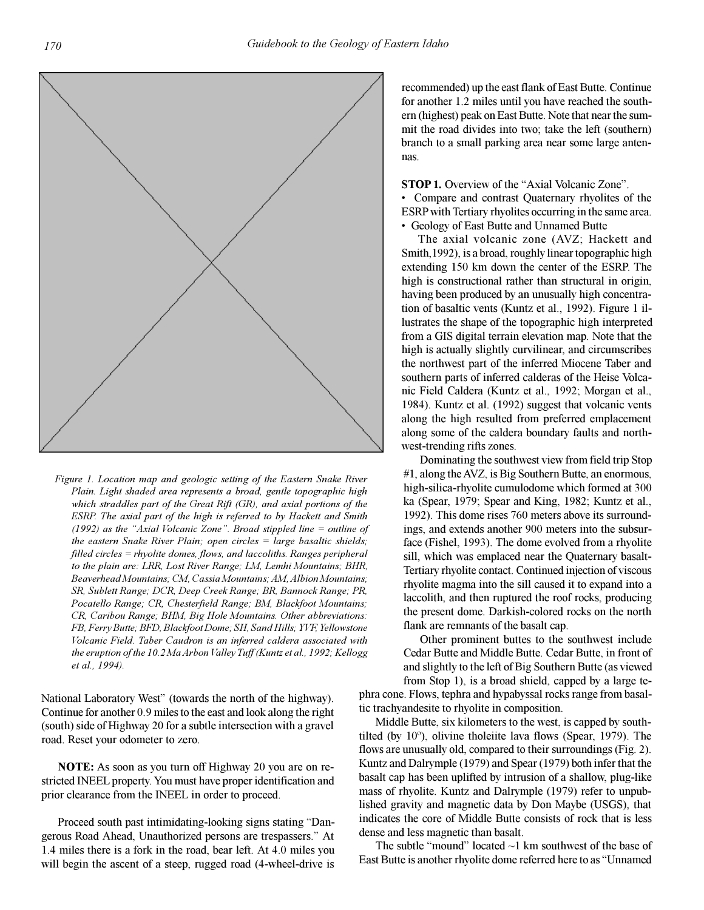

*Figure 1. Location map and geologic setting of the Eastern Snake River Plain. Light shaded area represents a broad, gentle topographic high which straddles part of the Great Rift (GR), and axial portions of the ESRP. The axial part of the high is referred to by Hackett and Smith (1992) as the "Axial Volcanic Zone". Broad stippled line = outline of the eastern Snake River Plain; open circles = large basaltic shields; filled circles = rhyolite domes, flows, and laccoliths. Ranges peripheral to the plain are: LRR, Lost River Range; LM, Lemhi Mountains; BHR, Beaverhead Mountains; CM, Cassia Mountains; AM, Albion Mountains; SR, Sublett Range; DCR, Deep Creek Range; BR, Bannock Range; PR, Pocatello Range; CR, Chesterfield Range; BM, Blackfoot Mountains; CR, Caribou Range; BHM, Big Hole Mountains. Other abbreviations: FB, Ferry Butte; BFD, Blackfoot Dome; SH, Sand Hills; YVF, Yellowstone Volcanic Field. Taber Caudron is an inferred caldera associated with the eruption of the 10.2 Ma Arbon Valley Tuff (Kuntz et al., 1992; Kellogg et al., 1994).*

National Laboratory West" (towards the north of the highway). Continue for another 0.9 miles to the east and look along the right (south) side of Highway 20 for a subtle intersection with a gravel road. Reset your odometer to zero.

**NOTE:** As soon as you turn off Highway 20 you are on restricted INEEL property. You must have proper identification and prior clearance from the INEEL in order to proceed.

Proceed south past intimidating-looking signs stating "Dangerous Road Ahead, Unauthorized persons are trespassers." At 1.4 miles there is a fork in the road, bear left. At 4.0 miles you will begin the ascent of a steep, rugged road  $(4$ -wheel-drive is

recommended) up the east flank of East Butte. Continue for another 1.2 miles until you have reached the southern (highest) peak on East Butte. Note that near the summit the road divides into two; take the left (southern) branch to a small parking area near some large antennas.

**STOP 1.** Overview of the "Axial Volcanic Zone".

 Compare and contrast Quaternary rhyolites of the ESRP with Tertiary rhyolites occurring in the same area. Geology of East Butte and Unnamed Butte

The axial volcanic zone (AVZ; Hackett and Smith,1992), is a broad, roughly linear topographic high extending 150 km down the center of the ESRP. The high is constructional rather than structural in origin, having been produced by an unusually high concentration of basaltic vents (Kuntz et al., 1992). Figure 1 illustrates the shape of the topographic high interpreted from a GIS digital terrain elevation map. Note that the high is actually slightly curvilinear, and circumscribes the northwest part of the inferred Miocene Taber and southern parts of inferred calderas of the Heise Volcanic Field Caldera (Kuntz et al., 1992; Morgan et al., 1984). Kuntz et al. (1992) suggest that volcanic vents along the high resulted from preferred emplacement along some of the caldera boundary faults and northwest-trending rifts zones.

Dominating the southwest view from field trip Stop #1, along the AVZ, is Big Southern Butte, an enormous, high-silica-rhyolite cumulodome which formed at 300 ka (Spear, 1979; Spear and King, 1982; Kuntz et al., 1992). This dome rises 760 meters above its surroundings, and extends another 900 meters into the subsurface (Fishel, 1993). The dome evolved from a rhyolite sill, which was emplaced near the Quaternary basalt-Tertiary rhyolite contact. Continued injection of viscous rhyolite magma into the sill caused it to expand into a laccolith, and then ruptured the roof rocks, producing the present dome. Darkish-colored rocks on the north flank are remnants of the basalt cap.

Other prominent buttes to the southwest include Cedar Butte and Middle Butte. Cedar Butte, in front of and slightly to the left of Big Southern Butte (as viewed from Stop 1), is a broad shield, capped by a large te-

phra cone. Flows, tephra and hypabyssal rocks range from basaltic trachyandesite to rhyolite in composition.

Middle Butte, six kilometers to the west, is capped by southtilted (by 10º), olivine tholeiite lava flows (Spear, 1979). The flows are unusually old, compared to their surroundings (Fig. 2). Kuntz and Dalrymple (1979) and Spear (1979) both infer that the basalt cap has been uplifted by intrusion of a shallow, plug-like mass of rhyolite. Kuntz and Dalrymple (1979) refer to unpublished gravity and magnetic data by Don Maybe (USGS), that indicates the core of Middle Butte consists of rock that is less dense and less magnetic than basalt.

The subtle "mound" located  $\sim$ 1 km southwest of the base of East Butte is another rhyolite dome referred here to as "Unnamed"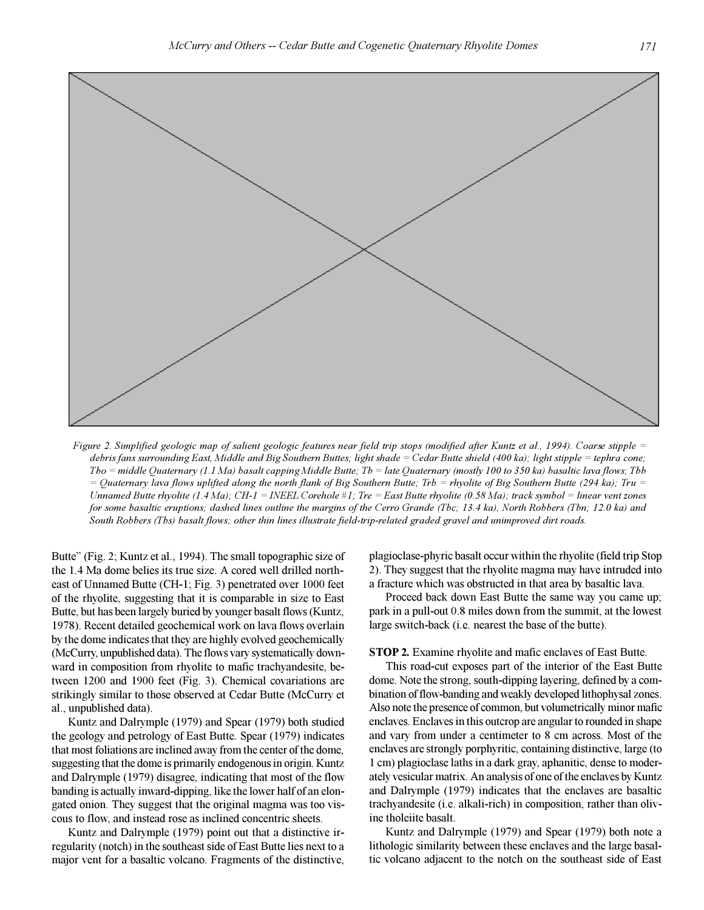

*Figure 2. Simplified geologic map of salient geologic features near field trip stops (modified after Kuntz et al., 1994). Coarse stipple = debris fans surrounding East, Middle and Big Southern Buttes; light shade = Cedar Butte shield (400 ka); light stipple = tephra cone; Tbo = middle Quaternary (1.1 Ma) basalt capping Middle Butte; Tb = late Quaternary (mostly 100 to 350 ka) basaltic lava flows; Tbb = Quaternary lava flows uplifted along the north flank of Big Southern Butte; Trb = rhyolite of Big Southern Butte (294 ka); Tru = Unnamed Butte rhyolite (1.4 Ma); CH-1 = INEEL Corehole #1; Tre = East Butte rhyolite (0.58 Ma); track symbol = linear vent zones for some basaltic eruptions; dashed lines outline the margins of the Cerro Grande (Tbc; 13.4 ka), North Robbers (Tbn; 12.0 ka) and South Robbers (Tbs) basalt flows; other thin lines illustrate field-trip-related graded gravel and unimproved dirt roads.*

Butte" (Fig. 2; Kuntz et al., 1994). The small topographic size of the 1.4 Ma dome belies its true size. A cored well drilled northeast of Unnamed Butte (CH-1; Fig. 3) penetrated over 1000 feet of the rhyolite, suggesting that it is comparable in size to East Butte, but has been largely buried by younger basalt flows (Kuntz, 1978). Recent detailed geochemical work on lava flows overlain by the dome indicates that they are highly evolved geochemically (McCurry, unpublished data). The flows vary systematically downward in composition from rhyolite to mafic trachyandesite, between 1200 and 1900 feet (Fig. 3). Chemical covariations are strikingly similar to those observed at Cedar Butte (McCurry et al., unpublished data).

Kuntz and Dalrymple (1979) and Spear (1979) both studied the geology and petrology of East Butte. Spear (1979) indicates that most foliations are inclined away from the center of the dome, suggesting that the dome is primarily endogenous in origin. Kuntz and Dalrymple (1979) disagree, indicating that most of the flow banding is actually inward-dipping, like the lower half of an elongated onion. They suggest that the original magma was too viscous to flow, and instead rose as inclined concentric sheets.

Kuntz and Dalrymple (1979) point out that a distinctive irregularity (notch) in the southeast side of East Butte lies next to a major vent for a basaltic volcano. Fragments of the distinctive, plagioclase-phyric basalt occur within the rhyolite (field trip Stop 2). They suggest that the rhyolite magma may have intruded into a fracture which was obstructed in that area by basaltic lava.

Proceed back down East Butte the same way you came up; park in a pull-out 0.8 miles down from the summit, at the lowest large switch-back (i.e. nearest the base of the butte).

**STOP 2.** Examine rhyolite and mafic enclaves of East Butte.

This road-cut exposes part of the interior of the East Butte dome. Note the strong, south-dipping layering, defined by a combination of flow-banding and weakly developed lithophysal zones. Also note the presence of common, but volumetrically minor mafic enclaves. Enclaves in this outcrop are angular to rounded in shape and vary from under a centimeter to 8 cm across. Most of the enclaves are strongly porphyritic, containing distinctive, large (to 1 cm) plagioclase laths in a dark gray, aphanitic, dense to moderately vesicular matrix. An analysis of one of the enclaves by Kuntz and Dalrymple (1979) indicates that the enclaves are basaltic trachyandesite (i.e. alkali-rich) in composition, rather than olivine tholeiite basalt.

Kuntz and Dalrymple (1979) and Spear (1979) both note a lithologic similarity between these enclaves and the large basaltic volcano adjacent to the notch on the southeast side of East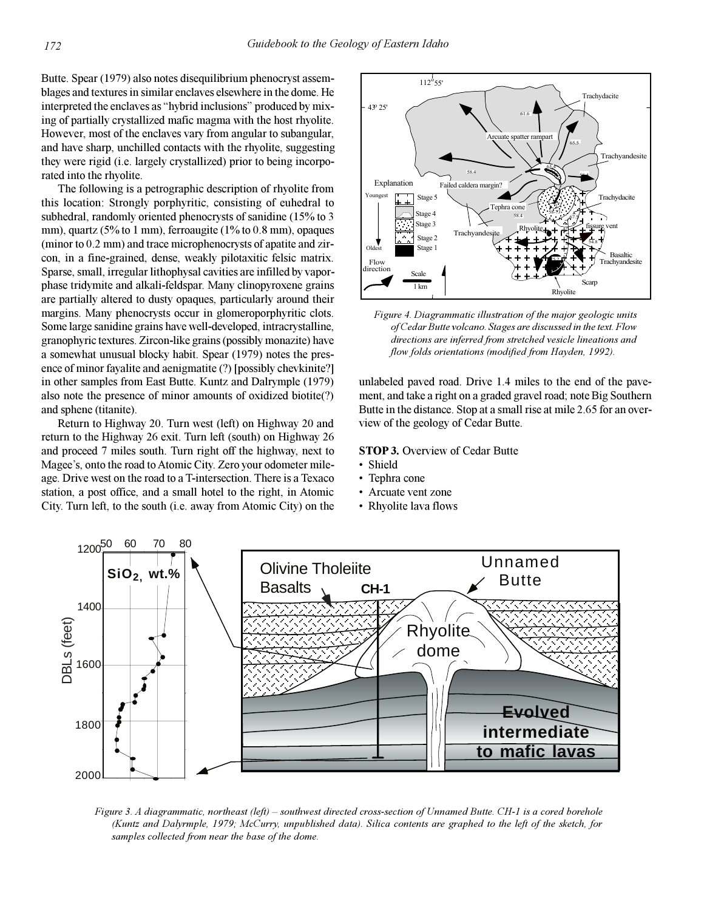Butte. Spear (1979) also notes disequilibrium phenocryst assemblages and textures in similar enclaves elsewhere in the dome. He interpreted the enclaves as "hybrid inclusions" produced by mixing of partially crystallized mafic magma with the host rhyolite. However, most of the enclaves vary from angular to subangular, and have sharp, unchilled contacts with the rhyolite, suggesting they were rigid (i.e. largely crystallized) prior to being incorporated into the rhyolite.

The following is a petrographic description of rhyolite from this location: Strongly porphyritic, consisting of euhedral to subhedral, randomly oriented phenocrysts of sanidine (15% to 3 mm), quartz (5% to 1 mm), ferroaugite (1% to 0.8 mm), opaques (minor to 0.2 mm) and trace microphenocrysts of apatite and zircon, in a fine-grained, dense, weakly pilotaxitic felsic matrix. Sparse, small, irregular lithophysal cavities are infilled by vaporphase tridymite and alkali-feldspar. Many clinopyroxene grains are partially altered to dusty opaques, particularly around their margins. Many phenocrysts occur in glomeroporphyritic clots. Some large sanidine grains have well-developed, intracrystalline, granophyric textures. Zircon-like grains (possibly monazite) have a somewhat unusual blocky habit. Spear (1979) notes the presence of minor fayalite and aenigmatite (?) [possibly chevkinite?] in other samples from East Butte. Kuntz and Dalrymple (1979) also note the presence of minor amounts of oxidized biotite(?) and sphene (titanite).

Return to Highway 20. Turn west (left) on Highway 20 and return to the Highway 26 exit. Turn left (south) on Highway 26 and proceed 7 miles south. Turn right off the highway, next to Magee's, onto the road to Atomic City. Zero your odometer mileage. Drive west on the road to a T-intersection. There is a Texaco station, a post office, and a small hotel to the right, in Atomic City. Turn left, to the south (i.e. away from Atomic City) on the



*Figure 4. Diagrammatic illustration of the major geologic units of Cedar Butte volcano. Stages are discussed in the text. Flow directions are inferred from stretched vesicle lineations and flow folds orientations (modified from Hayden, 1992).*

unlabeled paved road. Drive 1.4 miles to the end of the pavement, and take a right on a graded gravel road; note Big Southern Butte in the distance. Stop at a small rise at mile 2.65 for an overview of the geology of Cedar Butte.

#### **STOP 3.** Overview of Cedar Butte

- Shield
- Tephra cone
- Arcuate vent zone
- Rhyolite lava flows



*Figure 3. A diagrammatic, northeast (left) – southwest directed cross-section of Unnamed Butte. CH-1 is a cored borehole (Kuntz and Dalyrmple, 1979; McCurry, unpublished data). Silica contents are graphed to the left of the sketch, for samples collected from near the base of the dome.*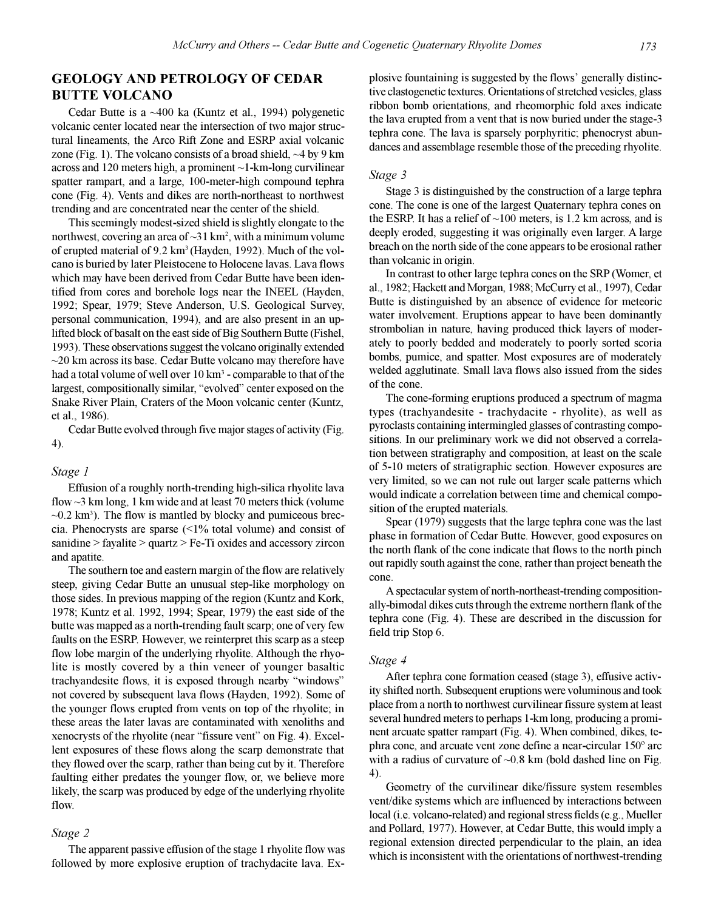# **GEOLOGY AND PETROLOGY OF CEDAR BUTTE VOLCANO**

Cedar Butte is a ~400 ka (Kuntz et al., 1994) polygenetic volcanic center located near the intersection of two major structural lineaments, the Arco Rift Zone and ESRP axial volcanic zone (Fig. 1). The volcano consists of a broad shield,  $\sim$ 4 by 9 km across and 120 meters high, a prominent ~1-km-long curvilinear spatter rampart, and a large, 100-meter-high compound tephra cone (Fig. 4). Vents and dikes are north-northeast to northwest trending and are concentrated near the center of the shield.

This seemingly modest-sized shield is slightly elongate to the northwest, covering an area of  $\sim$ 31 km<sup>2</sup>, with a minimum volume of erupted material of 9.2 km<sup>3</sup> (Hayden, 1992). Much of the volcano is buried by later Pleistocene to Holocene lavas. Lava flows which may have been derived from Cedar Butte have been identified from cores and borehole logs near the INEEL (Hayden, 1992; Spear, 1979; Steve Anderson, U.S. Geological Survey, personal communication, 1994), and are also present in an uplifted block of basalt on the east side of Big Southern Butte (Fishel, 1993). These observations suggest the volcano originally extended  $\sim$ 20 km across its base. Cedar Butte volcano may therefore have had a total volume of well over 10 km<sup>3</sup> - comparable to that of the largest, compositionally similar, "evolved" center exposed on the Snake River Plain, Craters of the Moon volcanic center (Kuntz, et al., 1986).

Cedar Butte evolved through five major stages of activity (Fig. 4).

## *Stage 1*

Effusion of a roughly north-trending high-silica rhyolite lava flow  $\sim$ 3 km long, 1 km wide and at least 70 meters thick (volume  $\sim$ 0.2 km<sup>3</sup>). The flow is mantled by blocky and pumiceous breccia. Phenocrysts are sparse  $\left( \langle 1\% \rangle \right)$  total volume) and consist of sanidine > fayalite > quartz > Fe-Ti oxides and accessory zircon and apatite.

The southern toe and eastern margin of the flow are relatively steep, giving Cedar Butte an unusual step-like morphology on those sides. In previous mapping of the region (Kuntz and Kork, 1978; Kuntz et al. 1992, 1994; Spear, 1979) the east side of the butte was mapped as a north-trending fault scarp; one of very few faults on the ESRP. However, we reinterpret this scarp as a steep flow lobe margin of the underlying rhyolite. Although the rhyolite is mostly covered by a thin veneer of younger basaltic trachyandesite flows, it is exposed through nearby "windows" not covered by subsequent lava flows (Hayden, 1992). Some of the younger flows erupted from vents on top of the rhyolite; in these areas the later lavas are contaminated with xenoliths and xenocrysts of the rhyolite (near "fissure vent" on Fig. 4). Excellent exposures of these flows along the scarp demonstrate that they flowed over the scarp, rather than being cut by it. Therefore faulting either predates the younger flow, or, we believe more likely, the scarp was produced by edge of the underlying rhyolite flow.

#### *Stage 2*

The apparent passive effusion of the stage 1 rhyolite flow was followed by more explosive eruption of trachydacite lava. Explosive fountaining is suggested by the flows' generally distinctive clastogenetic textures. Orientations of stretched vesicles, glass ribbon bomb orientations, and rheomorphic fold axes indicate the lava erupted from a vent that is now buried under the stage-3 tephra cone. The lava is sparsely porphyritic; phenocryst abundances and assemblage resemble those of the preceding rhyolite.

#### *Stage 3*

Stage 3 is distinguished by the construction of a large tephra cone. The cone is one of the largest Quaternary tephra cones on the ESRP. It has a relief of  $\sim$ 100 meters, is 1.2 km across, and is deeply eroded, suggesting it was originally even larger. A large breach on the north side of the cone appears to be erosional rather than volcanic in origin.

In contrast to other large tephra cones on the SRP (Womer, et al., 1982; Hackett and Morgan, 1988; McCurry et al., 1997), Cedar Butte is distinguished by an absence of evidence for meteoric water involvement. Eruptions appear to have been dominantly strombolian in nature, having produced thick layers of moderately to poorly bedded and moderately to poorly sorted scoria bombs, pumice, and spatter. Most exposures are of moderately welded agglutinate. Small lava flows also issued from the sides of the cone.

The cone-forming eruptions produced a spectrum of magma types (trachyandesite - trachydacite - rhyolite), as well as pyroclasts containing intermingled glasses of contrasting compositions. In our preliminary work we did not observed a correlation between stratigraphy and composition, at least on the scale of 5-10 meters of stratigraphic section. However exposures are very limited, so we can not rule out larger scale patterns which would indicate a correlation between time and chemical composition of the erupted materials.

Spear (1979) suggests that the large tephra cone was the last phase in formation of Cedar Butte. However, good exposures on the north flank of the cone indicate that flows to the north pinch out rapidly south against the cone, rather than project beneath the cone.

A spectacular system of north-northeast-trending compositionally-bimodal dikes cuts through the extreme northern flank of the tephra cone (Fig. 4). These are described in the discussion for field trip Stop 6.

#### *Stage 4*

After tephra cone formation ceased (stage 3), effusive activity shifted north. Subsequent eruptions were voluminous and took place from a north to northwest curvilinear fissure system at least several hundred meters to perhaps 1-km long, producing a prominent arcuate spatter rampart (Fig. 4). When combined, dikes, tephra cone, and arcuate vent zone define a near-circular 150º arc with a radius of curvature of  $\sim 0.8$  km (bold dashed line on Fig. 4).

Geometry of the curvilinear dike/fissure system resembles vent/dike systems which are influenced by interactions between local (i.e. volcano-related) and regional stress fields (e.g., Mueller and Pollard, 1977). However, at Cedar Butte, this would imply a regional extension directed perpendicular to the plain, an idea which is inconsistent with the orientations of northwest-trending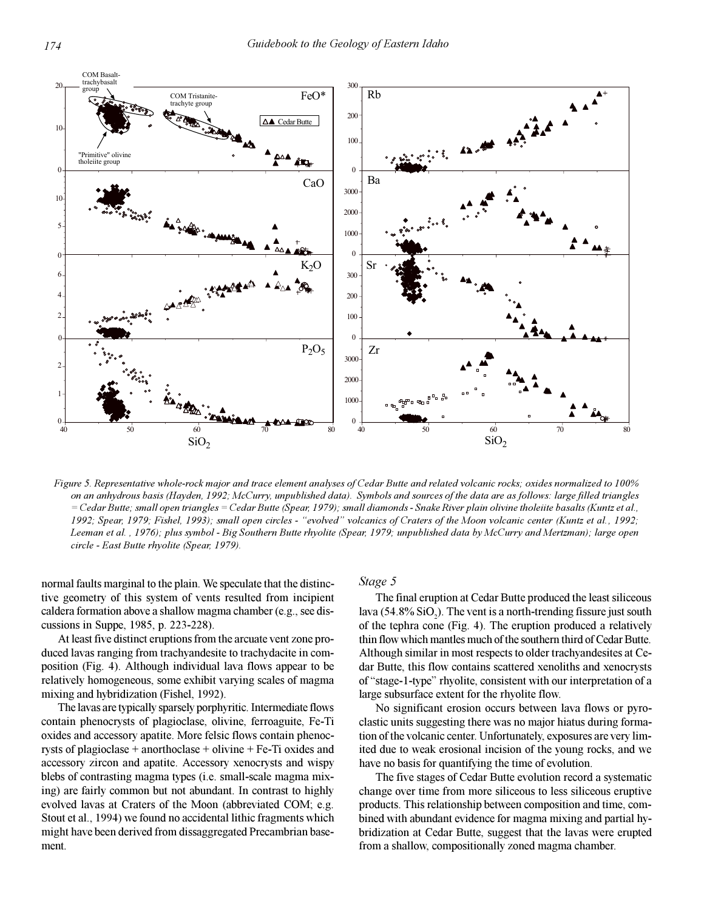

*Figure 5. Representative whole-rock major and trace element analyses of Cedar Butte and related volcanic rocks; oxides normalized to 100% on an anhydrous basis (Hayden, 1992; McCurry, unpublished data). Symbols and sources of the data are as follows: large filled triangles = Cedar Butte; small open triangles = Cedar Butte (Spear, 1979); small diamonds - Snake River plain olivine tholeiite basalts (Kuntz et al., 1992; Spear, 1979; Fishel, 1993); small open circles - evolved volcanics of Craters of the Moon volcanic center (Kuntz et al., 1992; Leeman et al. , 1976); plus symbol - Big Southern Butte rhyolite (Spear, 1979; unpublished data by McCurry and Mertzman); large open circle - East Butte rhyolite (Spear, 1979).*

normal faults marginal to the plain. We speculate that the distinctive geometry of this system of vents resulted from incipient caldera formation above a shallow magma chamber (e.g., see discussions in Suppe, 1985, p. 223-228).

At least five distinct eruptions from the arcuate vent zone produced lavas ranging from trachyandesite to trachydacite in composition (Fig. 4). Although individual lava flows appear to be relatively homogeneous, some exhibit varying scales of magma mixing and hybridization (Fishel, 1992).

The lavas are typically sparsely porphyritic. Intermediate flows contain phenocrysts of plagioclase, olivine, ferroaguite, Fe-Ti oxides and accessory apatite. More felsic flows contain phenocrysts of plagioclase + anorthoclase + olivine + Fe-Ti oxides and accessory zircon and apatite. Accessory xenocrysts and wispy blebs of contrasting magma types (i.e. small-scale magma mixing) are fairly common but not abundant. In contrast to highly evolved lavas at Craters of the Moon (abbreviated COM; e.g. Stout et al., 1994) we found no accidental lithic fragments which might have been derived from dissaggregated Precambrian basement.

#### *Stage 5*

The final eruption at Cedar Butte produced the least siliceous lava (54.8%  $SiO_2$ ). The vent is a north-trending fissure just south of the tephra cone (Fig. 4). The eruption produced a relatively thin flow which mantles much of the southern third of Cedar Butte. Although similar in most respects to older trachyandesites at Cedar Butte, this flow contains scattered xenoliths and xenocrysts of "stage-1-type" rhyolite, consistent with our interpretation of a large subsurface extent for the rhyolite flow.

No significant erosion occurs between lava flows or pyroclastic units suggesting there was no major hiatus during formation of the volcanic center. Unfortunately, exposures are very limited due to weak erosional incision of the young rocks, and we have no basis for quantifying the time of evolution.

The five stages of Cedar Butte evolution record a systematic change over time from more siliceous to less siliceous eruptive products. This relationship between composition and time, combined with abundant evidence for magma mixing and partial hybridization at Cedar Butte, suggest that the lavas were erupted from a shallow, compositionally zoned magma chamber.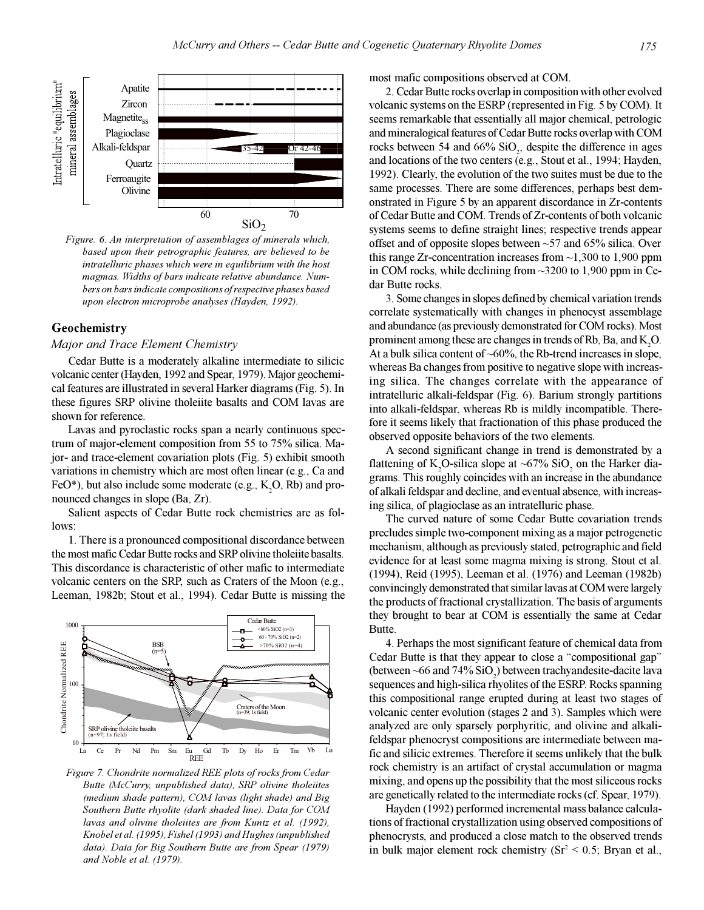

*Figure. 6. An interpretation of assemblages of minerals which, based upon their petrographic features, are believed to be intratelluric phases which were in equilibrium with the host magmas. Widths of bars indicate relative abundance. Numbers on bars indicate compositions of respective phases based upon electron microprobe analyses (Hayden, 1992).*

# **Geochemistry**

#### *Major and Trace Element Chemistry*

Cedar Butte is a moderately alkaline intermediate to silicic volcanic center (Hayden, 1992 and Spear, 1979). Major geochemical features are illustrated in several Harker diagrams (Fig. 5). In these figures SRP olivine tholeiite basalts and COM lavas are shown for reference.

Lavas and pyroclastic rocks span a nearly continuous spectrum of major-element composition from 55 to 75% silica. Major- and trace-element covariation plots (Fig. 5) exhibit smooth variations in chemistry which are most often linear (e.g., Ca and FeO<sup>\*</sup>), but also include some moderate (e.g.,  $K_2O$ , Rb) and pronounced changes in slope (Ba, Zr).

Salient aspects of Cedar Butte rock chemistries are as follows:

1. There is a pronounced compositional discordance between the most mafic Cedar Butte rocks and SRP olivine tholeiite basalts. This discordance is characteristic of other mafic to intermediate volcanic centers on the SRP, such as Craters of the Moon (e.g., Leeman, 1982b; Stout et al., 1994). Cedar Butte is missing the



*Figure 7. Chondrite normalized REE plots of rocks from Cedar Butte (McCurry, unpublished data), SRP olivine tholeiites (medium shade pattern), COM lavas (light shade) and Big Southern Butte rhyolite (dark shaded line). Data for COM lavas and olivine tholeiites are from Kuntz et al. (1992), Knobel et al. (1995), Fishel (1993) and Hughes (unpublished data). Data for Big Southern Butte are from Spear (1979) and Noble et al. (1979).*

most mafic compositions observed at COM.

2. Cedar Butte rocks overlap in composition with other evolved volcanic systems on the ESRP (represented in Fig. 5 by COM). It seems remarkable that essentially all major chemical, petrologic and mineralogical features of Cedar Butte rocks overlap with COM rocks between 54 and  $66\%$  SiO<sub>2</sub>, despite the difference in ages and locations of the two centers (e.g., Stout et al., 1994; Hayden, 1992). Clearly, the evolution of the two suites must be due to the same processes. There are some differences, perhaps best demonstrated in Figure 5 by an apparent discordance in Zr-contents of Cedar Butte and COM. Trends of Zr-contents of both volcanic systems seems to define straight lines; respective trends appear offset and of opposite slopes between  $~57$  and  $~65\%$  silica. Over this range Zr-concentration increases from  $\sim$ 1,300 to 1,900 ppm in COM rocks, while declining from ~3200 to 1,900 ppm in Cedar Butte rocks.

3. Some changes in slopes defined by chemical variation trends correlate systematically with changes in phenocyst assemblage and abundance (as previously demonstrated for COM rocks). Most prominent among these are changes in trends of Rb, Ba, and  $K_{2}O$ . At a bulk silica content of  $~60\%$ , the Rb-trend increases in slope, whereas Ba changes from positive to negative slope with increasing silica. The changes correlate with the appearance of intratelluric alkali-feldspar (Fig. 6). Barium strongly partitions into alkali-feldspar, whereas Rb is mildly incompatible. Therefore it seems likely that fractionation of this phase produced the observed opposite behaviors of the two elements.

A second significant change in trend is demonstrated by a flattening of  $K_2O$ -silica slope at ~67% SiO<sub>2</sub> on the Harker diagrams. This roughly coincides with an increase in the abundance of alkali feldspar and decline, and eventual absence, with increasing silica, of plagioclase as an intratelluric phase.

The curved nature of some Cedar Butte covariation trends precludes simple two-component mixing as a major petrogenetic mechanism, although as previously stated, petrographic and field evidence for at least some magma mixing is strong. Stout et al. (1994), Reid (1995), Leeman et al. (1976) and Leeman (1982b) convincingly demonstrated that similar lavas at COM were largely the products of fractional crystallization. The basis of arguments they brought to bear at COM is essentially the same at Cedar Butte.

4. Perhaps the most significant feature of chemical data from Cedar Butte is that they appear to close a "compositional gap" (between  $\sim$  66 and 74% SiO<sub>2</sub>) between trachyandesite-dacite lava sequences and high-silica rhyolites of the ESRP. Rocks spanning this compositional range erupted during at least two stages of volcanic center evolution (stages 2 and 3). Samples which were analyzed are only sparsely porphyritic, and olivine and alkalifeldspar phenocryst compositions are intermediate between mafic and silicic extremes. Therefore it seems unlikely that the bulk rock chemistry is an artifact of crystal accumulation or magma mixing, and opens up the possibility that the most siliceous rocks are genetically related to the intermediate rocks (cf. Spear, 1979).

Hayden (1992) performed incremental mass balance calculations of fractional crystallization using observed compositions of phenocrysts, and produced a close match to the observed trends in bulk major element rock chemistry  $(Sr^2 < 0.5; Bryan$  et al.,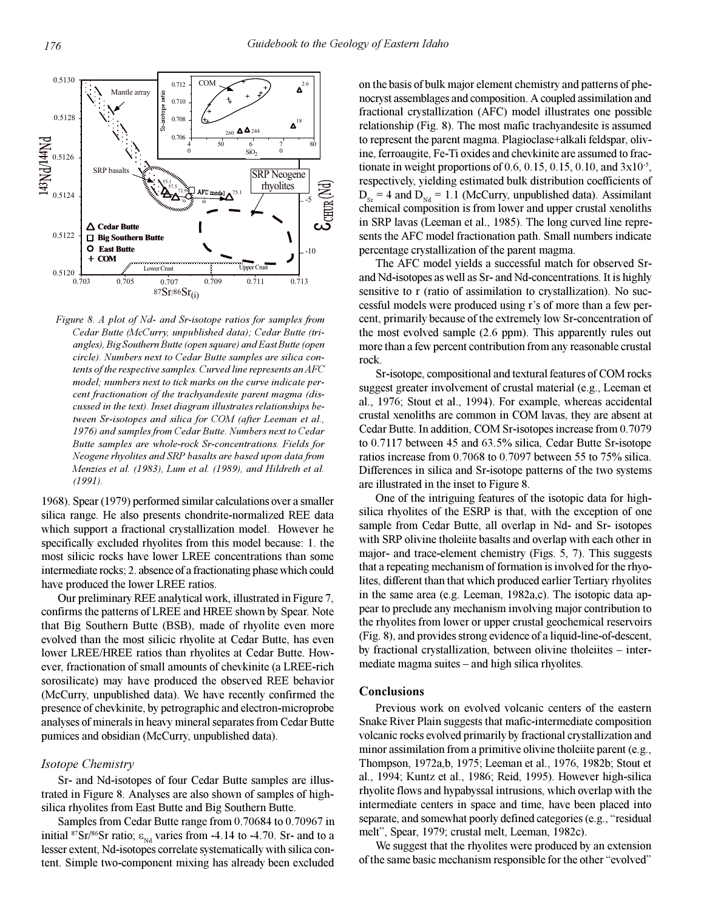

*Figure 8. A plot of Nd- and Sr-isotope ratios for samples from Cedar Butte (McCurry, unpublished data); Cedar Butte (triangles), Big Southern Butte (open square) and East Butte (open circle). Numbers next to Cedar Butte samples are silica contents of the respective samples. Curved line represents an AFC model; numbers next to tick marks on the curve indicate percent fractionation of the trachyandesite parent magma (discussed in the text). Inset diagram illustrates relationships between Sr-isotopes and silica for COM (after Leeman et al., 1976) and samples from Cedar Butte. Numbers next to Cedar Butte samples are whole-rock Sr-concentrations. Fields for Neogene rhyolites and SRP basalts are based upon data from Menzies et al. (1983), Lum et al. (1989), and Hildreth et al. (1991).*

1968). Spear (1979) performed similar calculations over a smaller silica range. He also presents chondrite-normalized REE data which support a fractional crystallization model. However he specifically excluded rhyolites from this model because: 1. the most silicic rocks have lower LREE concentrations than some intermediate rocks; 2. absence of a fractionating phase which could have produced the lower LREE ratios.

Our preliminary REE analytical work, illustrated in Figure 7, confirms the patterns of LREE and HREE shown by Spear. Note that Big Southern Butte (BSB), made of rhyolite even more evolved than the most silicic rhyolite at Cedar Butte, has even lower LREE/HREE ratios than rhyolites at Cedar Butte. However, fractionation of small amounts of chevkinite (a LREE-rich sorosilicate) may have produced the observed REE behavior (McCurry, unpublished data). We have recently confirmed the presence of chevkinite, by petrographic and electron-microprobe analyses of minerals in heavy mineral separates from Cedar Butte pumices and obsidian (McCurry, unpublished data).

#### *Isotope Chemistry*

Sr- and Nd-isotopes of four Cedar Butte samples are illustrated in Figure 8. Analyses are also shown of samples of highsilica rhyolites from East Butte and Big Southern Butte.

Samples from Cedar Butte range from 0.70684 to 0.70967 in initial <sup>87</sup>Sr/<sup>86</sup>Sr ratio;  $\varepsilon_{Nd}$  varies from -4.14 to -4.70. Sr- and to a lesser extent, Nd-isotopes correlate systematically with silica content. Simple two-component mixing has already been excluded

on the basis of bulk major element chemistry and patterns of phenocryst assemblages and composition. A coupled assimilation and fractional crystallization (AFC) model illustrates one possible relationship (Fig. 8). The most mafic trachyandesite is assumed to represent the parent magma. Plagioclase+alkali feldspar, olivine, ferroaugite, Fe-Ti oxides and chevkinite are assumed to fractionate in weight proportions of  $0.6, 0.15, 0.15, 0.10$ , and  $3x10^{-5}$ , respectively, yielding estimated bulk distribution coefficients of  $D_{\rm Sr}$  = 4 and  $D_{\rm Nd}$  = 1.1 (McCurry, unpublished data). Assimilant chemical composition is from lower and upper crustal xenoliths in SRP lavas (Leeman et al., 1985). The long curved line represents the AFC model fractionation path. Small numbers indicate percentage crystallization of the parent magma.

The AFC model yields a successful match for observed Srand Nd-isotopes as well as Sr- and Nd-concentrations. It is highly sensitive to r (ratio of assimilation to crystallization). No successful models were produced using r's of more than a few percent, primarily because of the extremely low Sr-concentration of the most evolved sample (2.6 ppm). This apparently rules out more than a few percent contribution from any reasonable crustal rock.

Sr-isotope, compositional and textural features of COM rocks suggest greater involvement of crustal material (e.g., Leeman et al., 1976; Stout et al., 1994). For example, whereas accidental crustal xenoliths are common in COM lavas, they are absent at Cedar Butte. In addition, COM Sr-isotopes increase from 0.7079 to 0.7117 between 45 and 63.5% silica, Cedar Butte Sr-isotope ratios increase from 0.7068 to 0.7097 between 55 to 75% silica. Differences in silica and Sr-isotope patterns of the two systems are illustrated in the inset to Figure 8.

One of the intriguing features of the isotopic data for highsilica rhyolites of the ESRP is that, with the exception of one sample from Cedar Butte, all overlap in Nd- and Sr- isotopes with SRP olivine tholeiite basalts and overlap with each other in major- and trace-element chemistry (Figs. 5, 7). This suggests that a repeating mechanism of formation is involved for the rhyolites, different than that which produced earlier Tertiary rhyolites in the same area (e.g. Leeman, 1982a,c). The isotopic data appear to preclude any mechanism involving major contribution to the rhyolites from lower or upper crustal geochemical reservoirs (Fig. 8), and provides strong evidence of a liquid-line-of-descent, by fractional crystallization, between olivine tholeiites - intermediate magma suites  $-$  and high silica rhyolites.

#### **Conclusions**

Previous work on evolved volcanic centers of the eastern Snake River Plain suggests that mafic-intermediate composition volcanic rocks evolved primarily by fractional crystallization and minor assimilation from a primitive olivine tholeiite parent (e.g., Thompson, 1972a,b, 1975; Leeman et al., 1976, 1982b; Stout et al., 1994; Kuntz et al., 1986; Reid, 1995). However high-silica rhyolite flows and hypabyssal intrusions, which overlap with the intermediate centers in space and time, have been placed into separate, and somewhat poorly defined categories (e.g., "residual melt", Spear, 1979; crustal melt, Leeman, 1982c).

We suggest that the rhyolites were produced by an extension of the same basic mechanism responsible for the other "evolved"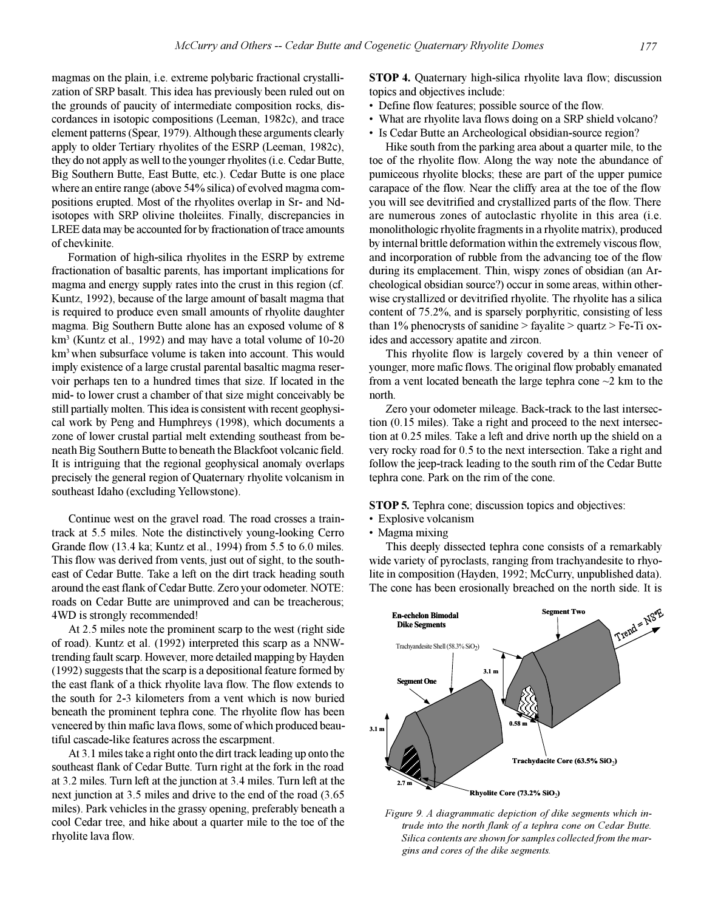magmas on the plain, i.e. extreme polybaric fractional crystallization of SRP basalt. This idea has previously been ruled out on the grounds of paucity of intermediate composition rocks, discordances in isotopic compositions (Leeman, 1982c), and trace element patterns (Spear, 1979). Although these arguments clearly apply to older Tertiary rhyolites of the ESRP (Leeman, 1982c), they do not apply as well to the younger rhyolites (i.e. Cedar Butte, Big Southern Butte, East Butte, etc.). Cedar Butte is one place where an entire range (above 54% silica) of evolved magma compositions erupted. Most of the rhyolites overlap in Sr- and Ndisotopes with SRP olivine tholeiites. Finally, discrepancies in LREE data may be accounted for by fractionation of trace amounts of chevkinite.

Formation of high-silica rhyolites in the ESRP by extreme fractionation of basaltic parents, has important implications for magma and energy supply rates into the crust in this region (cf. Kuntz, 1992), because of the large amount of basalt magma that is required to produce even small amounts of rhyolite daughter magma. Big Southern Butte alone has an exposed volume of 8 km<sup>3</sup> (Kuntz et al., 1992) and may have a total volume of 10-20 km<sup>3</sup> when subsurface volume is taken into account. This would imply existence of a large crustal parental basaltic magma reservoir perhaps ten to a hundred times that size. If located in the mid- to lower crust a chamber of that size might conceivably be still partially molten. This idea is consistent with recent geophysical work by Peng and Humphreys (1998), which documents a zone of lower crustal partial melt extending southeast from beneath Big Southern Butte to beneath the Blackfoot volcanic field. It is intriguing that the regional geophysical anomaly overlaps precisely the general region of Quaternary rhyolite volcanism in southeast Idaho (excluding Yellowstone).

Continue west on the gravel road. The road crosses a traintrack at 5.5 miles. Note the distinctively young-looking Cerro Grande flow (13.4 ka; Kuntz et al., 1994) from 5.5 to 6.0 miles. This flow was derived from vents, just out of sight, to the southeast of Cedar Butte. Take a left on the dirt track heading south around the east flank of Cedar Butte. Zero your odometer. NOTE: roads on Cedar Butte are unimproved and can be treacherous; 4WD is strongly recommended!

At 2.5 miles note the prominent scarp to the west (right side of road). Kuntz et al. (1992) interpreted this scarp as a NNWtrending fault scarp. However, more detailed mapping by Hayden (1992) suggests that the scarp is a depositional feature formed by the east flank of a thick rhyolite lava flow. The flow extends to the south for 2-3 kilometers from a vent which is now buried beneath the prominent tephra cone. The rhyolite flow has been veneered by thin mafic lava flows, some of which produced beautiful cascade-like features across the escarpment.

At 3.1 miles take a right onto the dirt track leading up onto the southeast flank of Cedar Butte. Turn right at the fork in the road at 3.2 miles. Turn left at the junction at 3.4 miles. Turn left at the next junction at 3.5 miles and drive to the end of the road (3.65 miles). Park vehicles in the grassy opening, preferably beneath a cool Cedar tree, and hike about a quarter mile to the toe of the rhyolite lava flow.

**STOP 4.** Quaternary high-silica rhyolite lava flow; discussion topics and objectives include:

- Define flow features; possible source of the flow.
- What are rhyolite lava flows doing on a SRP shield volcano?
- Is Cedar Butte an Archeological obsidian-source region?

Hike south from the parking area about a quarter mile, to the toe of the rhyolite flow. Along the way note the abundance of pumiceous rhyolite blocks; these are part of the upper pumice carapace of the flow. Near the cliffy area at the toe of the flow you will see devitrified and crystallized parts of the flow. There are numerous zones of autoclastic rhyolite in this area (i.e. monolithologic rhyolite fragments in a rhyolite matrix), produced by internal brittle deformation within the extremely viscous flow, and incorporation of rubble from the advancing toe of the flow during its emplacement. Thin, wispy zones of obsidian (an Archeological obsidian source?) occur in some areas, within otherwise crystallized or devitrified rhyolite. The rhyolite has a silica content of 75.2%, and is sparsely porphyritic, consisting of less than 1% phenocrysts of sanidine  $>$  fayalite  $>$  quartz  $>$  Fe-Ti oxides and accessory apatite and zircon.

This rhyolite flow is largely covered by a thin veneer of younger, more mafic flows. The original flow probably emanated from a vent located beneath the large tephra cone  $\sim$ 2 km to the north.

Zero your odometer mileage. Back-track to the last intersection (0.15 miles). Take a right and proceed to the next intersection at 0.25 miles. Take a left and drive north up the shield on a very rocky road for 0.5 to the next intersection. Take a right and follow the jeep-track leading to the south rim of the Cedar Butte tephra cone. Park on the rim of the cone.

**STOP 5.** Tephra cone; discussion topics and objectives:

- Explosive volcanism
- Magma mixing

This deeply dissected tephra cone consists of a remarkably wide variety of pyroclasts, ranging from trachyandesite to rhyolite in composition (Hayden, 1992; McCurry, unpublished data). The cone has been erosionally breached on the north side. It is



*Figure 9. A diagrammatic depiction of dike segments which intrude into the north flank of a tephra cone on Cedar Butte. Silica contents are shown for samples collected from the margins and cores of the dike segments.*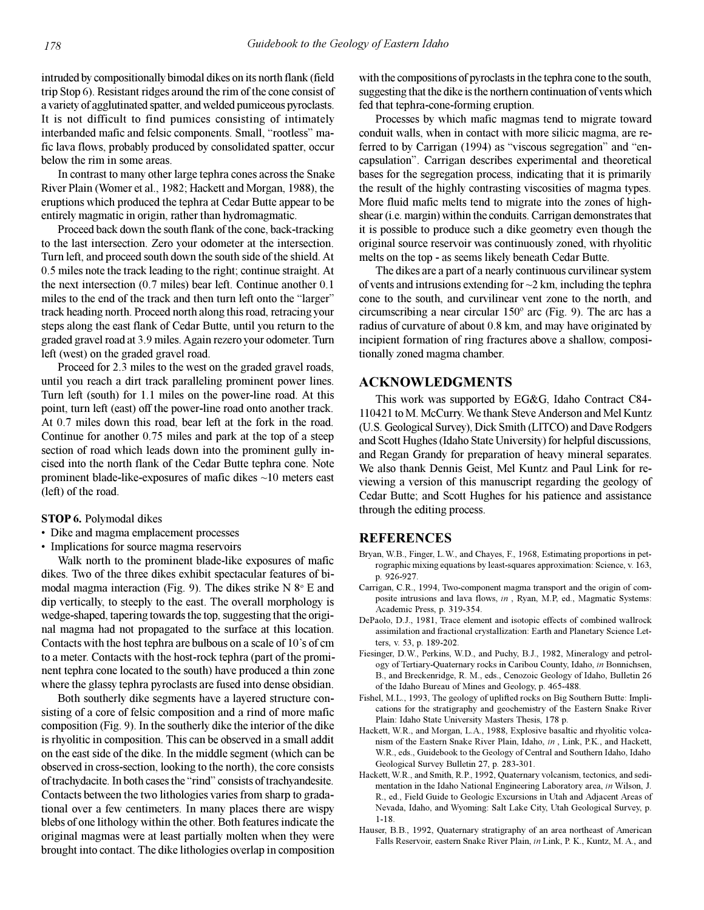intruded by compositionally bimodal dikes on its north flank (field trip Stop 6). Resistant ridges around the rim of the cone consist of a variety of agglutinated spatter, and welded pumiceous pyroclasts. It is not difficult to find pumices consisting of intimately interbanded mafic and felsic components. Small, "rootless" mafic lava flows, probably produced by consolidated spatter, occur below the rim in some areas.

In contrast to many other large tephra cones across the Snake River Plain (Womer et al., 1982; Hackett and Morgan, 1988), the eruptions which produced the tephra at Cedar Butte appear to be entirely magmatic in origin, rather than hydromagmatic.

Proceed back down the south flank of the cone, back-tracking to the last intersection. Zero your odometer at the intersection. Turn left, and proceed south down the south side of the shield. At 0.5 miles note the track leading to the right; continue straight. At the next intersection (0.7 miles) bear left. Continue another 0.1 miles to the end of the track and then turn left onto the "larger" track heading north. Proceed north along this road, retracing your steps along the east flank of Cedar Butte, until you return to the graded gravel road at 3.9 miles. Again rezero your odometer. Turn left (west) on the graded gravel road.

Proceed for 2.3 miles to the west on the graded gravel roads, until you reach a dirt track paralleling prominent power lines. Turn left (south) for 1.1 miles on the power-line road. At this point, turn left (east) off the power-line road onto another track. At 0.7 miles down this road, bear left at the fork in the road. Continue for another 0.75 miles and park at the top of a steep section of road which leads down into the prominent gully incised into the north flank of the Cedar Butte tephra cone. Note prominent blade-like-exposures of mafic dikes ~10 meters east (left) of the road.

#### **STOP 6.** Polymodal dikes

- Dike and magma emplacement processes
- Implications for source magma reservoirs

Walk north to the prominent blade-like exposures of mafic dikes. Two of the three dikes exhibit spectacular features of bimodal magma interaction (Fig. 9). The dikes strike  $N 8^{\circ}$  E and dip vertically, to steeply to the east. The overall morphology is wedge-shaped, tapering towards the top, suggesting that the original magma had not propagated to the surface at this location. Contacts with the host tephra are bulbous on a scale of  $10$ 's of cm to a meter. Contacts with the host-rock tephra (part of the prominent tephra cone located to the south) have produced a thin zone where the glassy tephra pyroclasts are fused into dense obsidian.

Both southerly dike segments have a layered structure consisting of a core of felsic composition and a rind of more mafic composition (Fig. 9). In the southerly dike the interior of the dike is rhyolitic in composition. This can be observed in a small addit on the east side of the dike. In the middle segment (which can be observed in cross-section, looking to the north), the core consists of trachydacite. In both cases the "rind" consists of trachyandesite. Contacts between the two lithologies varies from sharp to gradational over a few centimeters. In many places there are wispy blebs of one lithology within the other. Both features indicate the original magmas were at least partially molten when they were brought into contact. The dike lithologies overlap in composition with the compositions of pyroclasts in the tephra cone to the south, suggesting that the dike is the northern continuation of vents which fed that tephra-cone-forming eruption.

Processes by which mafic magmas tend to migrate toward conduit walls, when in contact with more silicic magma, are referred to by Carrigan (1994) as "viscous segregation" and "encapsulation". Carrigan describes experimental and theoretical bases for the segregation process, indicating that it is primarily the result of the highly contrasting viscosities of magma types. More fluid mafic melts tend to migrate into the zones of highshear (i.e. margin) within the conduits. Carrigan demonstrates that it is possible to produce such a dike geometry even though the original source reservoir was continuously zoned, with rhyolitic melts on the top - as seems likely beneath Cedar Butte.

The dikes are a part of a nearly continuous curvilinear system of vents and intrusions extending for  $\sim$ 2 km, including the tephra cone to the south, and curvilinear vent zone to the north, and circumscribing a near circular 150º arc (Fig. 9). The arc has a radius of curvature of about 0.8 km, and may have originated by incipient formation of ring fractures above a shallow, compositionally zoned magma chamber.

# **ACKNOWLEDGMENTS**

This work was supported by EG&G, Idaho Contract C84- 110421 to M. McCurry. We thank Steve Anderson and Mel Kuntz (U.S. Geological Survey), Dick Smith (LITCO) and Dave Rodgers and Scott Hughes (Idaho State University) for helpful discussions, and Regan Grandy for preparation of heavy mineral separates. We also thank Dennis Geist, Mel Kuntz and Paul Link for reviewing a version of this manuscript regarding the geology of Cedar Butte; and Scott Hughes for his patience and assistance through the editing process.

# **REFERENCES**

- Bryan, W.B., Finger, L.W., and Chayes, F., 1968, Estimating proportions in petrographic mixing equations by least-squares approximation: Science, v. 163, p. 926-927.
- Carrigan, C.R., 1994, Two-component magma transport and the origin of composite intrusions and lava flows, *in* , Ryan, M.P, ed., Magmatic Systems: Academic Press, p. 319-354.
- DePaolo, D.J., 1981, Trace element and isotopic effects of combined wallrock assimilation and fractional crystallization: Earth and Planetary Science Letters, v. 53, p. 189-202.
- Fiesinger, D.W., Perkins, W.D., and Puchy, B.J., 1982, Mineralogy and petrology of Tertiary-Quaternary rocks in Caribou County, Idaho, *in* Bonnichsen, B., and Breckenridge, R. M., eds., Cenozoic Geology of Idaho, Bulletin 26 of the Idaho Bureau of Mines and Geology, p. 465-488.
- Fishel, M.L., 1993, The geology of uplifted rocks on Big Southern Butte: Implications for the stratigraphy and geochemistry of the Eastern Snake River Plain: Idaho State University Masters Thesis, 178 p.
- Hackett, W.R., and Morgan, L.A., 1988, Explosive basaltic and rhyolitic volcanism of the Eastern Snake River Plain, Idaho, *in* , Link, P.K., and Hackett, W.R., eds., Guidebook to the Geology of Central and Southern Idaho, Idaho Geological Survey Bulletin 27, p. 283-301.
- Hackett, W.R., and Smith, R.P., 1992, Quaternary volcanism, tectonics, and sedimentation in the Idaho National Engineering Laboratory area, *in* Wilson, J. R., ed., Field Guide to Geologic Excursions in Utah and Adjacent Areas of Nevada, Idaho, and Wyoming: Salt Lake City, Utah Geological Survey, p. 1-18.
- Hauser, B.B., 1992, Quaternary stratigraphy of an area northeast of American Falls Reservoir, eastern Snake River Plain, *in* Link, P. K., Kuntz, M. A., and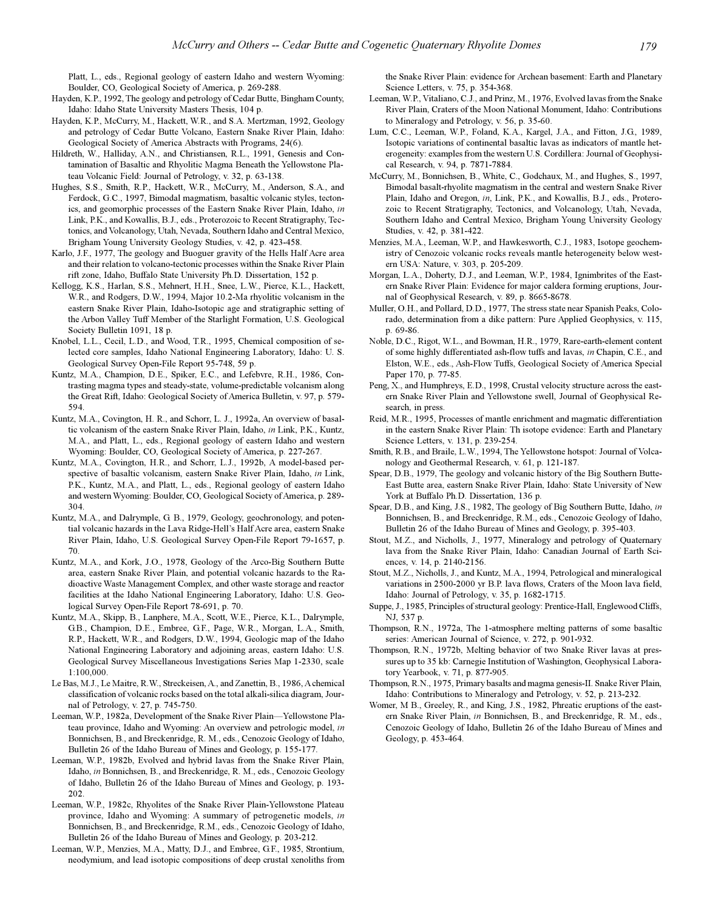Platt, L., eds., Regional geology of eastern Idaho and western Wyoming: Boulder, CO, Geological Society of America, p. 269-288.

- Hayden, K.P., 1992, The geology and petrology of Cedar Butte, Bingham County, Idaho: Idaho State University Masters Thesis, 104 p.
- Hayden, K.P., McCurry, M., Hackett, W.R., and S.A. Mertzman, 1992, Geology and petrology of Cedar Butte Volcano, Eastern Snake River Plain, Idaho: Geological Society of America Abstracts with Programs, 24(6).
- Hildreth, W., Halliday, A.N., and Christiansen, R.L., 1991, Genesis and Contamination of Basaltic and Rhyolitic Magma Beneath the Yellowstone Plateau Volcanic Field: Journal of Petrology, v. 32, p. 63-138.
- Hughes, S.S., Smith, R.P., Hackett, W.R., McCurry, M., Anderson, S.A., and Ferdock, G.C., 1997, Bimodal magmatism, basaltic volcanic styles, tectonics, and geomorphic processes of the Eastern Snake River Plain, Idaho, *in* Link, P.K., and Kowallis, B.J., eds., Proterozoic to Recent Stratigraphy, Tectonics, and Volcanology, Utah, Nevada, Southern Idaho and Central Mexico, Brigham Young University Geology Studies, v. 42, p. 423-458.
- Karlo, J.F., 1977, The geology and Buoguer gravity of the Hells Half Acre area and their relation to volcano-tectonic processes within the Snake River Plain rift zone, Idaho, Buffalo State University Ph.D. Dissertation, 152 p.
- Kellogg, K.S., Harlan, S.S., Mehnert, H.H., Snee, L.W., Pierce, K.L., Hackett, W.R., and Rodgers, D.W., 1994, Major 10.2-Ma rhyolitic volcanism in the eastern Snake River Plain, Idaho-Isotopic age and stratigraphic setting of the Arbon Valley Tuff Member of the Starlight Formation, U.S. Geological Society Bulletin 1091, 18 p.
- Knobel, L.L., Cecil, L.D., and Wood, T.R., 1995, Chemical composition of selected core samples, Idaho National Engineering Laboratory, Idaho: U. S. Geological Survey Open-File Report 95-748, 59 p.
- Kuntz, M.A., Champion, D.E., Spiker, E.C., and Lefebvre, R.H., 1986, Contrasting magma types and steady-state, volume-predictable volcanism along the Great Rift, Idaho: Geological Society of America Bulletin, v. 97, p. 579- 594.
- Kuntz, M.A., Covington, H. R., and Schorr, L. J., 1992a, An overview of basaltic volcanism of the eastern Snake River Plain, Idaho, *in* Link, P.K., Kuntz, M.A., and Platt, L., eds., Regional geology of eastern Idaho and western Wyoming: Boulder, CO, Geological Society of America, p. 227-267.
- Kuntz, M.A., Covington, H.R., and Schorr, L.J., 1992b, A model-based perspective of basaltic volcanism, eastern Snake River Plain, Idaho, *in* Link, P.K., Kuntz, M.A., and Platt, L., eds., Regional geology of eastern Idaho and western Wyoming: Boulder, CO, Geological Society of America, p. 289- 304.
- Kuntz, M.A., and Dalrymple, G. B., 1979, Geology, geochronology, and potential volcanic hazards in the Lava Ridge-Hell's Half Acre area, eastern Snake River Plain, Idaho, U.S. Geological Survey Open-File Report 79-1657, p. 70.
- Kuntz, M.A., and Kork, J.O., 1978, Geology of the Arco-Big Southern Butte area, eastern Snake River Plain, and potential volcanic hazards to the Radioactive Waste Management Complex, and other waste storage and reactor facilities at the Idaho National Engineering Laboratory, Idaho: U.S. Geological Survey Open-File Report 78-691, p. 70.
- Kuntz, M.A., Skipp, B., Lanphere, M.A., Scott, W.E., Pierce, K.L., Dalrymple, G.B., Champion, D.E., Embree, G.F., Page, W.R., Morgan, L.A., Smith, R.P., Hackett, W.R., and Rodgers, D.W., 1994, Geologic map of the Idaho National Engineering Laboratory and adjoining areas, eastern Idaho: U.S. Geological Survey Miscellaneous Investigations Series Map 1-2330, scale 1:100,000.
- Le Bas, M.J., Le Maitre, R.W., Streckeisen, A., and Zanettin, B., 1986, A chemical classification of volcanic rocks based on the total alkali-silica diagram, Journal of Petrology, v. 27, p. 745-750.
- Leeman, W.P., 1982a, Development of the Snake River Plain-Yellowstone Plateau province, Idaho and Wyoming: An overview and petrologic model, *in* Bonnichsen, B., and Breckenridge, R. M., eds., Cenozoic Geology of Idaho, Bulletin 26 of the Idaho Bureau of Mines and Geology, p. 155-177.
- Leeman, W.P., 1982b, Evolved and hybrid lavas from the Snake River Plain, Idaho, *in* Bonnichsen, B., and Breckenridge, R. M., eds., Cenozoic Geology of Idaho, Bulletin 26 of the Idaho Bureau of Mines and Geology, p. 193- 202.
- Leeman, W.P., 1982c, Rhyolites of the Snake River Plain-Yellowstone Plateau province, Idaho and Wyoming: A summary of petrogenetic models, *in* Bonnichsen, B., and Breckenridge, R.M., eds., Cenozoic Geology of Idaho, Bulletin 26 of the Idaho Bureau of Mines and Geology, p. 203-212.
- Leeman, W.P., Menzies, M.A., Matty, D.J., and Embree, G.F., 1985, Strontium, neodymium, and lead isotopic compositions of deep crustal xenoliths from

the Snake River Plain: evidence for Archean basement: Earth and Planetary Science Letters, v. 75, p. 354-368.

- Leeman, W.P., Vitaliano, C.J., and Prinz, M., 1976, Evolved lavas from the Snake River Plain, Craters of the Moon National Monument, Idaho: Contributions to Mineralogy and Petrology, v. 56, p. 35-60.
- Lum, C.C., Leeman, W.P., Foland, K.A., Kargel, J.A., and Fitton, J.G., 1989, Isotopic variations of continental basaltic lavas as indicators of mantle heterogeneity: examples from the western U.S. Cordillera: Journal of Geophysical Research, v. 94, p. 7871-7884.
- McCurry, M., Bonnichsen, B., White, C., Godchaux, M., and Hughes, S., 1997, Bimodal basalt-rhyolite magmatism in the central and western Snake River Plain, Idaho and Oregon, *in*, Link, P.K., and Kowallis, B.J., eds., Proterozoic to Recent Stratigraphy, Tectonics, and Volcanology, Utah, Nevada, Southern Idaho and Central Mexico, Brigham Young University Geology Studies, v. 42, p. 381-422.
- Menzies, M.A., Leeman, W.P., and Hawkesworth, C.J., 1983, Isotope geochemistry of Cenozoic volcanic rocks reveals mantle heterogeneity below western USA: Nature, v. 303, p. 205-209.
- Morgan, L.A., Doherty, D.J., and Leeman, W.P., 1984, Ignimbrites of the Eastern Snake River Plain: Evidence for major caldera forming eruptions, Journal of Geophysical Research, v. 89, p. 8665-8678.
- Muller, O.H., and Pollard, D.D., 1977, The stress state near Spanish Peaks, Colorado, determination from a dike pattern: Pure Applied Geophysics, v. 115, p. 69-86.
- Noble, D.C., Rigot, W.L., and Bowman, H.R., 1979, Rare-earth-element content of some highly differentiated ash-flow tuffs and lavas, *in* Chapin, C.E., and Elston, W.E., eds., Ash-Flow Tuffs, Geological Society of America Special Paper 170, p. 77-85.
- Peng, X., and Humphreys, E.D., 1998, Crustal velocity structure across the eastern Snake River Plain and Yellowstone swell, Journal of Geophysical Research, in press.
- Reid, M.R., 1995, Processes of mantle enrichment and magmatic differentiation in the eastern Snake River Plain: Th isotope evidence: Earth and Planetary Science Letters, v. 131, p. 239-254.
- Smith, R.B., and Braile, L.W., 1994, The Yellowstone hotspot: Journal of Volcanology and Geothermal Research, v. 61, p. 121-187.
- Spear, D.B., 1979, The geology and volcanic history of the Big Southern Butte-East Butte area, eastern Snake River Plain, Idaho: State University of New York at Buffalo Ph.D. Dissertation, 136 p.
- Spear, D.B., and King, J.S., 1982, The geology of Big Southern Butte, Idaho, *in* Bonnichsen, B., and Breckenridge, R.M., eds., Cenozoic Geology of Idaho, Bulletin 26 of the Idaho Bureau of Mines and Geology, p. 395-403.
- Stout, M.Z., and Nicholls, J., 1977, Mineralogy and petrology of Quaternary lava from the Snake River Plain, Idaho: Canadian Journal of Earth Sciences, v. 14, p. 2140-2156.
- Stout, M.Z., Nicholls, J., and Kuntz, M.A., 1994, Petrological and mineralogical variations in 2500-2000 yr B.P. lava flows, Craters of the Moon lava field, Idaho: Journal of Petrology, v. 35, p. 1682-1715.
- Suppe, J., 1985, Principles of structural geology: Prentice-Hall, Englewood Cliffs, NJ, 537 p.
- Thompson, R.N., 1972a, The 1-atmosphere melting patterns of some basaltic series: American Journal of Science, v. 272, p. 901-932.
- Thompson, R.N., 1972b, Melting behavior of two Snake River lavas at pressures up to 35 kb: Carnegie Institution of Washington, Geophysical Laboratory Yearbook, v. 71, p. 877-905.
- Thompson, R.N., 1975, Primary basalts and magma genesis-II. Snake River Plain, Idaho: Contributions to Mineralogy and Petrology, v. 52, p. 213-232.
- Womer, M B., Greeley, R., and King, J.S., 1982, Phreatic eruptions of the eastern Snake River Plain, *in* Bonnichsen, B., and Breckenridge, R. M., eds., Cenozoic Geology of Idaho, Bulletin 26 of the Idaho Bureau of Mines and Geology, p. 453-464.